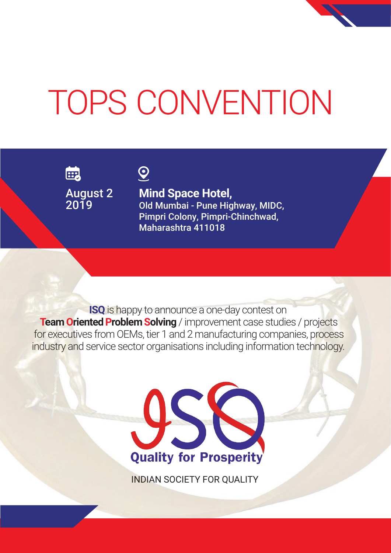# TOPS CONVENTION

的

August 2 2019

 $Q$ 

**Mind Space Hotel,** Old Mumbai - Pune Highway, MIDC, Pimpri Colony, Pimpri-Chinchwad, Maharashtra 411018

**ISQ** is happy to announce a one-day contest on **Team Oriented Problem Solving** / improvement case studies / projects for executives from OEMs, tier 1 and 2 manufacturing companies, process industry and service sector organisations including information technology.



INDIAN SOCIETY FOR QUALITY